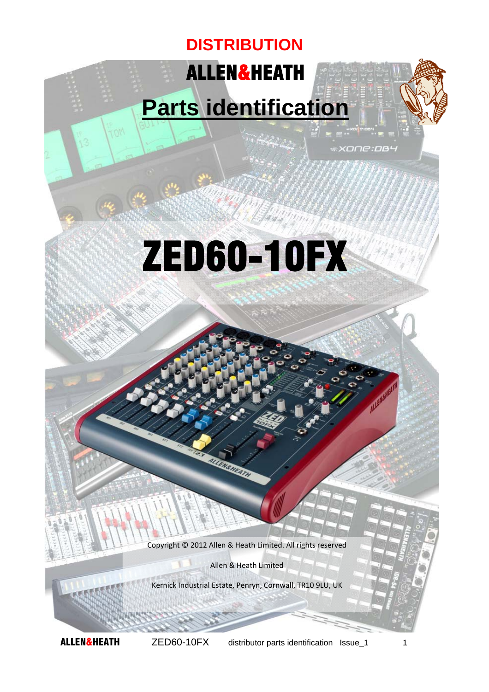## ALLEN&HEATH **DISTRIBUTION**

## **Parts identification**

xone:pa4

**TIM** 

# ZED60-10FX

Copyright © 2012 Allen & Heath Limited. All rights reserved

Allen & Heath Limited

Kernick Industrial Estate, Penryn, Cornwall, TR10 9LU, UK

**ALLEN&HEATH** ZED60-10FX distributor parts identification Issue\_1 1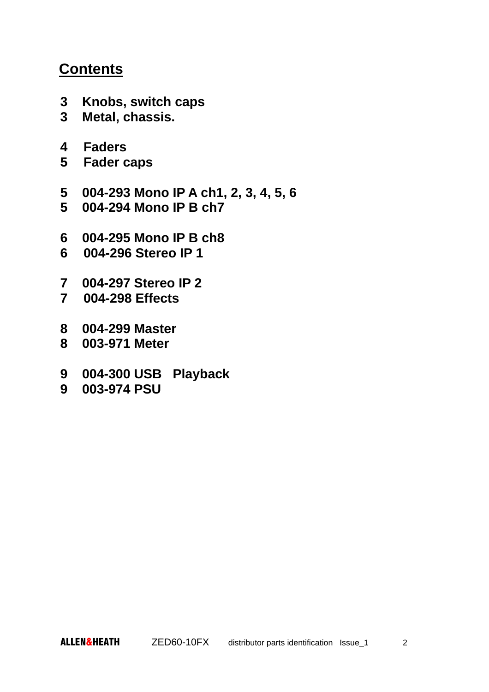#### **Contents**

- **3 Knobs, switch caps**
- **3 Metal, chassis.**
- **4 Faders**
- **5 Fader caps**
- **5 004-293 Mono IP A ch1, 2, 3, 4, 5, 6**
- **5 004-294 Mono IP B ch7**
- **6 004-295 Mono IP B ch8**
- **6 004-296 Stereo IP 1**
- **7 004-297 Stereo IP 2**
- **7 004-298 Effects**
- **8 004-299 Master**
- **8 003-971 Meter**
- **9 004-300 USB Playback**
- **9 003-974 PSU**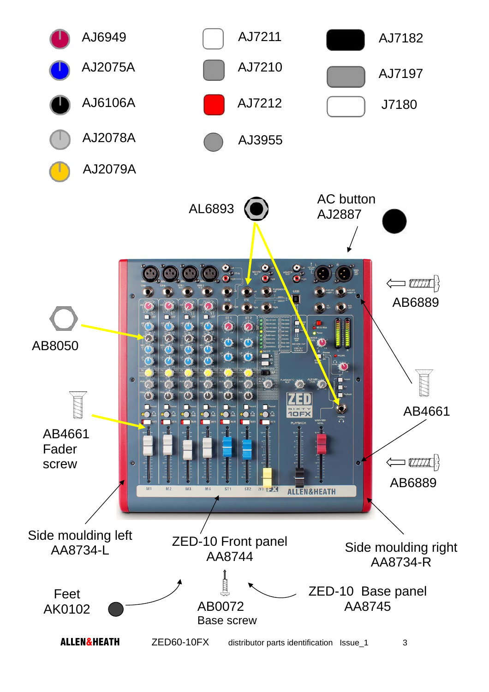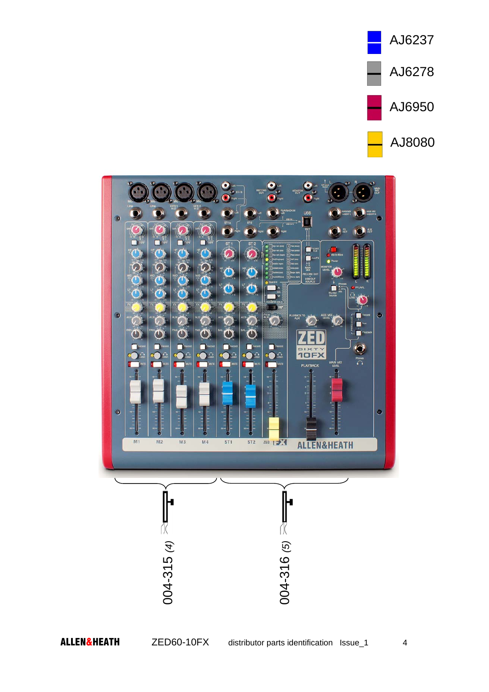

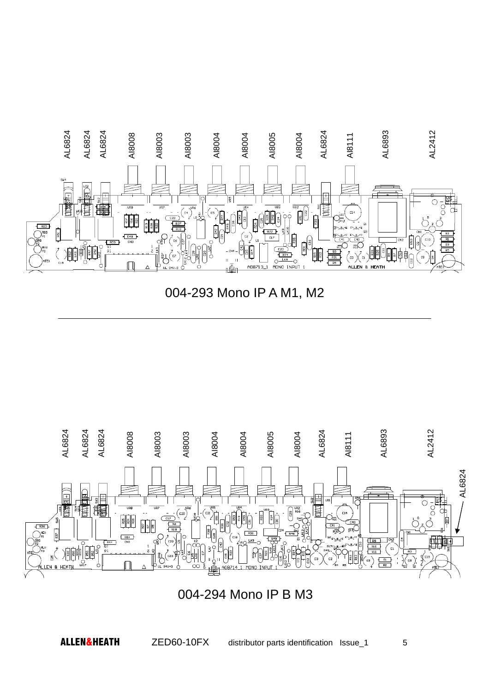





004-294 Mono IP B M3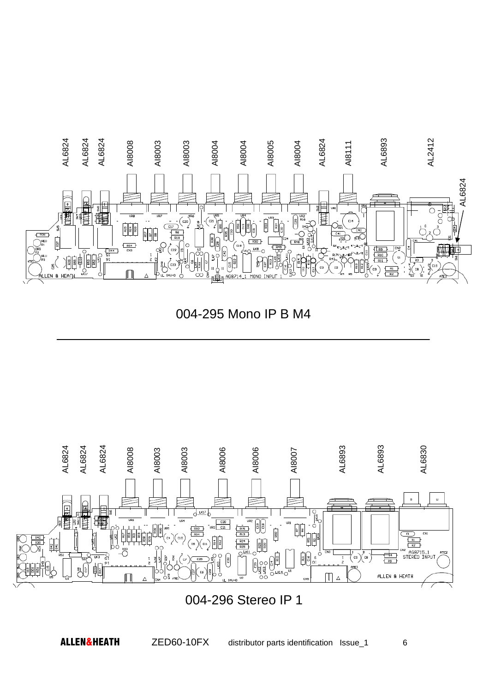

004-295 Mono IP B M4



#### 004-296 Stereo IP 1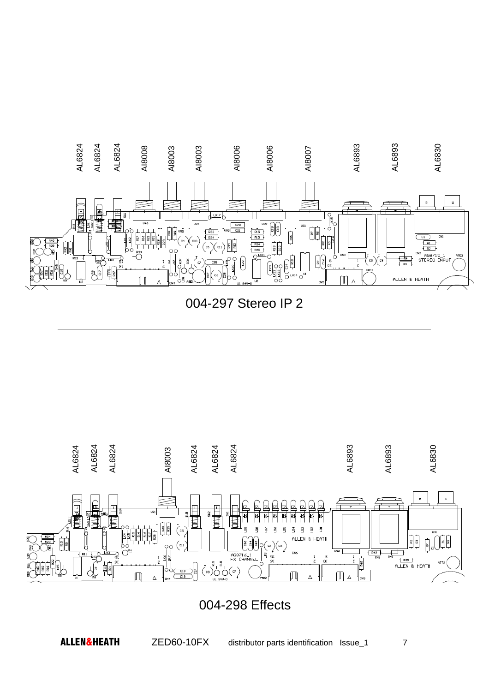

004-297 Stereo IP 2



#### 004-298 Effects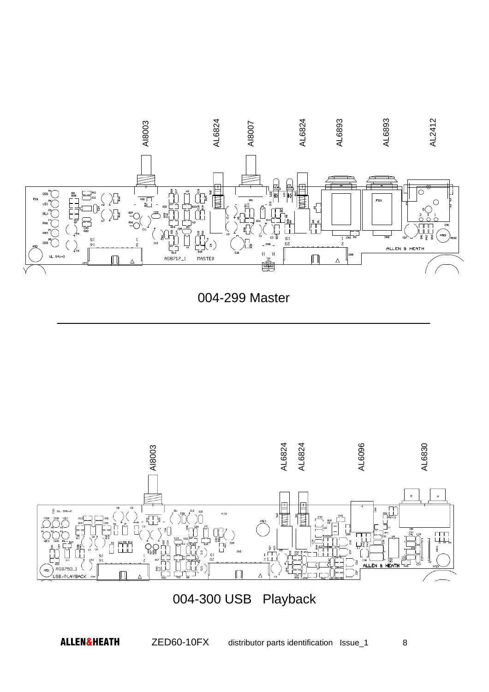

004-299 Master



### 004-300 USB Playback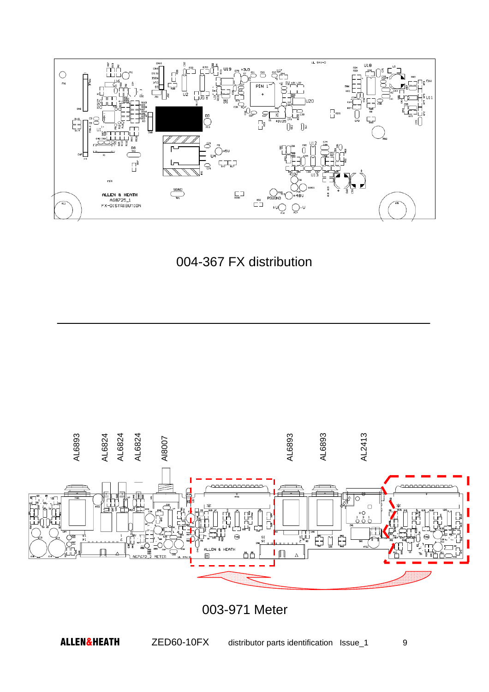





003-971 Meter